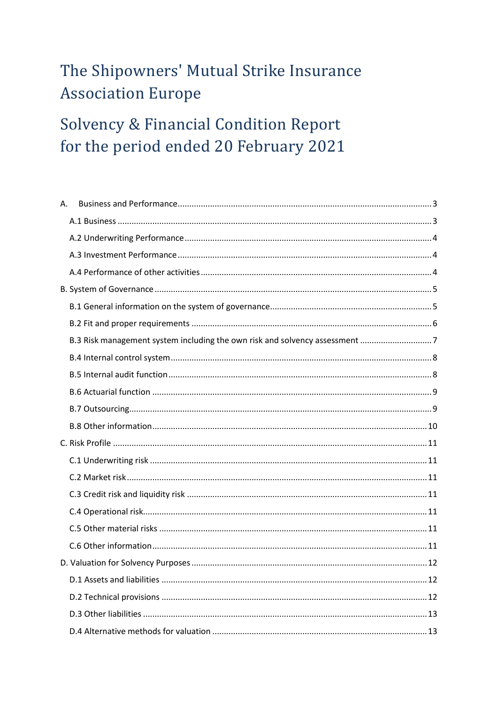# The Shipowners' Mutual Strike Insurance **Association Europe**

# **Solvency & Financial Condition Report** for the period ended 20 February 2021

| А. |  |
|----|--|
|    |  |
|    |  |
|    |  |
|    |  |
|    |  |
|    |  |
|    |  |
|    |  |
|    |  |
|    |  |
|    |  |
|    |  |
|    |  |
|    |  |
|    |  |
|    |  |
|    |  |
|    |  |
|    |  |
|    |  |
|    |  |
|    |  |
|    |  |
|    |  |
|    |  |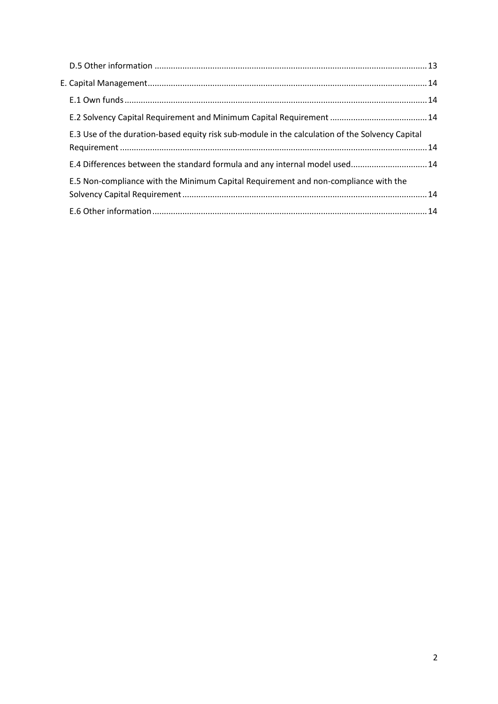| E.3 Use of the duration-based equity risk sub-module in the calculation of the Solvency Capital |  |
|-------------------------------------------------------------------------------------------------|--|
| E.4 Differences between the standard formula and any internal model used 14                     |  |
| E.5 Non-compliance with the Minimum Capital Requirement and non-compliance with the             |  |
|                                                                                                 |  |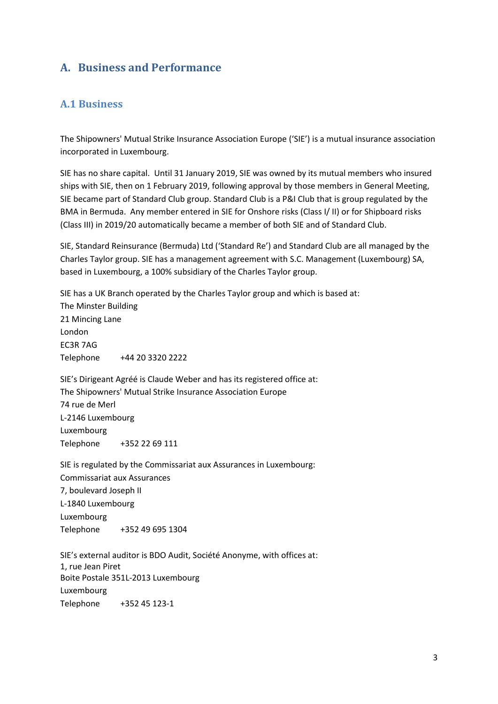## <span id="page-2-0"></span>**A. Business and Performance**

#### <span id="page-2-1"></span>**A.1 Business**

The Shipowners' Mutual Strike Insurance Association Europe ('SIE') is a mutual insurance association incorporated in Luxembourg.

SIE has no share capital. Until 31 January 2019, SIE was owned by its mutual members who insured ships with SIE, then on 1 February 2019, following approval by those members in General Meeting, SIE became part of Standard Club group. Standard Club is a P&I Club that is group regulated by the BMA in Bermuda. Any member entered in SIE for Onshore risks (Class I/ II) or for Shipboard risks (Class III) in 2019/20 automatically became a member of both SIE and of Standard Club.

SIE, Standard Reinsurance (Bermuda) Ltd ('Standard Re') and Standard Club are all managed by the Charles Taylor group. SIE has a management agreement with S.C. Management (Luxembourg) SA, based in Luxembourg, a 100% subsidiary of the Charles Taylor group.

SIE has a UK Branch operated by the Charles Taylor group and which is based at: The Minster Building 21 Mincing Lane London EC3R 7AG Telephone +44 20 3320 2222

SIE's Dirigeant Agréé is Claude Weber and has its registered office at: The Shipowners' Mutual Strike Insurance Association Europe 74 rue de Merl L-2146 Luxembourg Luxembourg Telephone +352 22 69 111

SIE is regulated by the Commissariat aux Assurances in Luxembourg: Commissariat aux Assurances 7, boulevard Joseph II L-1840 Luxembourg Luxembourg Telephone +352 49 695 1304

SIE's external auditor is BDO Audit, Société Anonyme, with offices at: 1, rue Jean Piret Boite Postale 351L-2013 Luxembourg Luxembourg Telephone +352 45 123-1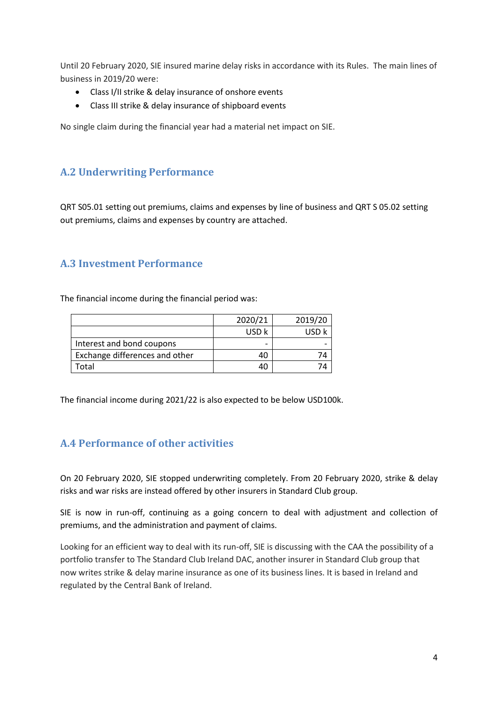Until 20 February 2020, SIE insured marine delay risks in accordance with its Rules. The main lines of business in 2019/20 were:

- Class I/II strike & delay insurance of onshore events
- Class III strike & delay insurance of shipboard events

No single claim during the financial year had a material net impact on SIE.

## <span id="page-3-0"></span>**A.2 Underwriting Performance**

QRT S05.01 setting out premiums, claims and expenses by line of business and QRT S 05.02 setting out premiums, claims and expenses by country are attached.

### <span id="page-3-1"></span>**A.3 Investment Performance**

The financial income during the financial period was:

|                                | 2020/21 | 2019/20 |
|--------------------------------|---------|---------|
|                                | USD k   |         |
| Interest and bond coupons      |         |         |
| Exchange differences and other |         |         |
| Total                          |         |         |

The financial income during 2021/22 is also expected to be below USD100k.

## <span id="page-3-2"></span>**A.4 Performance of other activities**

On 20 February 2020, SIE stopped underwriting completely. From 20 February 2020, strike & delay risks and war risks are instead offered by other insurers in Standard Club group.

SIE is now in run-off, continuing as a going concern to deal with adjustment and collection of premiums, and the administration and payment of claims.

Looking for an efficient way to deal with its run-off, SIE is discussing with the CAA the possibility of a portfolio transfer to The Standard Club Ireland DAC, another insurer in Standard Club group that now writes strike & delay marine insurance as one of its business lines. It is based in Ireland and regulated by the Central Bank of Ireland.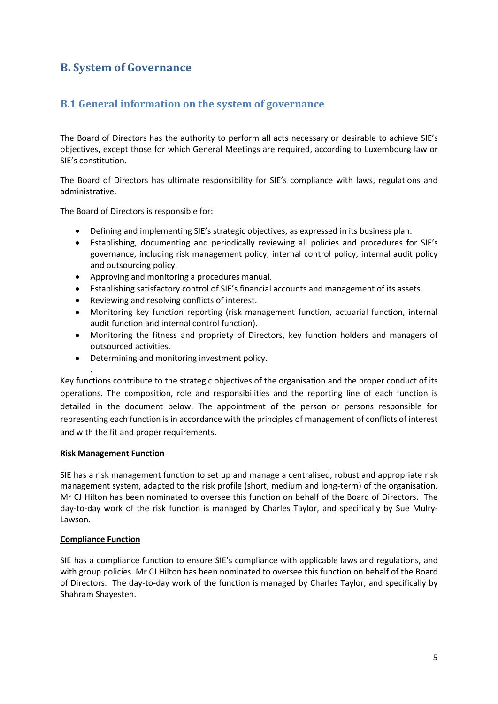## <span id="page-4-0"></span>**B. System of Governance**

### <span id="page-4-1"></span>**B.1 General information on the system of governance**

The Board of Directors has the authority to perform all acts necessary or desirable to achieve SIE's objectives, except those for which General Meetings are required, according to Luxembourg law or SIE's constitution.

The Board of Directors has ultimate responsibility for SIE's compliance with laws, regulations and administrative.

The Board of Directors is responsible for:

- Defining and implementing SIE's strategic objectives, as expressed in its business plan.
- Establishing, documenting and periodically reviewing all policies and procedures for SIE's governance, including risk management policy, internal control policy, internal audit policy and outsourcing policy.
- Approving and monitoring a procedures manual.
- Establishing satisfactory control of SIE's financial accounts and management of its assets.
- Reviewing and resolving conflicts of interest.
- Monitoring key function reporting (risk management function, actuarial function, internal audit function and internal control function).
- Monitoring the fitness and propriety of Directors, key function holders and managers of outsourced activities.
- Determining and monitoring investment policy.

Key functions contribute to the strategic objectives of the organisation and the proper conduct of its operations. The composition, role and responsibilities and the reporting line of each function is detailed in the document below. The appointment of the person or persons responsible for representing each function is in accordance with the principles of management of conflicts of interest and with the fit and proper requirements.

#### **Risk Management Function**

.

SIE has a risk management function to set up and manage a centralised, robust and appropriate risk management system, adapted to the risk profile (short, medium and long-term) of the organisation. Mr CJ Hilton has been nominated to oversee this function on behalf of the Board of Directors. The day-to-day work of the risk function is managed by Charles Taylor, and specifically by Sue Mulry-Lawson.

#### **Compliance Function**

SIE has a compliance function to ensure SIE's compliance with applicable laws and regulations, and with group policies. Mr CJ Hilton has been nominated to oversee this function on behalf of the Board of Directors. The day-to-day work of the function is managed by Charles Taylor, and specifically by Shahram Shayesteh.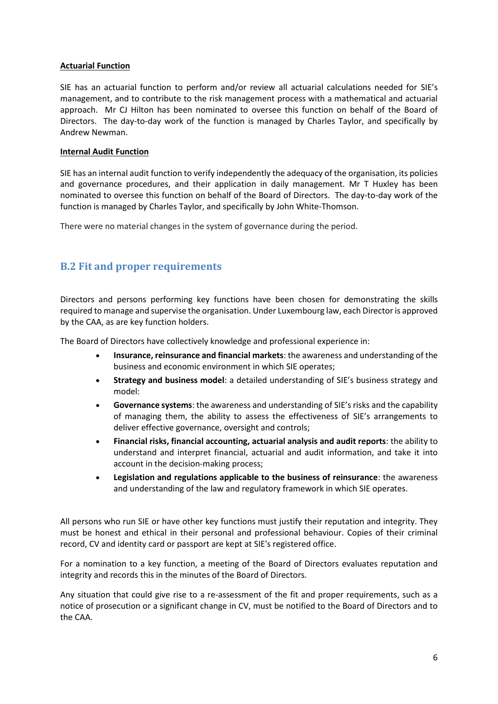#### **Actuarial Function**

SIE has an actuarial function to perform and/or review all actuarial calculations needed for SIE's management, and to contribute to the risk management process with a mathematical and actuarial approach. Mr CJ Hilton has been nominated to oversee this function on behalf of the Board of Directors. The day-to-day work of the function is managed by Charles Taylor, and specifically by Andrew Newman.

#### **Internal Audit Function**

SIE has an internal audit function to verify independently the adequacy of the organisation, its policies and governance procedures, and their application in daily management. Mr T Huxley has been nominated to oversee this function on behalf of the Board of Directors. The day-to-day work of the function is managed by Charles Taylor, and specifically by John White-Thomson.

There were no material changes in the system of governance during the period.

### <span id="page-5-0"></span>**B.2 Fit and proper requirements**

Directors and persons performing key functions have been chosen for demonstrating the skills required to manage and supervise the organisation. Under Luxembourg law, each Director is approved by the CAA, as are key function holders.

The Board of Directors have collectively knowledge and professional experience in:

- **Insurance, reinsurance and financial markets**: the awareness and understanding of the business and economic environment in which SIE operates;
- **Strategy and business model**: a detailed understanding of SIE's business strategy and model:
- **Governance systems**: the awareness and understanding of SIE's risks and the capability of managing them, the ability to assess the effectiveness of SIE's arrangements to deliver effective governance, oversight and controls;
- **Financial risks, financial accounting, actuarial analysis and audit reports**: the ability to understand and interpret financial, actuarial and audit information, and take it into account in the decision-making process;
- **Legislation and regulations applicable to the business of reinsurance**: the awareness and understanding of the law and regulatory framework in which SIE operates.

All persons who run SIE or have other key functions must justify their reputation and integrity. They must be honest and ethical in their personal and professional behaviour. Copies of their criminal record, CV and identity card or passport are kept at SIE's registered office.

For a nomination to a key function, a meeting of the Board of Directors evaluates reputation and integrity and records this in the minutes of the Board of Directors.

Any situation that could give rise to a re-assessment of the fit and proper requirements, such as a notice of prosecution or a significant change in CV, must be notified to the Board of Directors and to the CAA.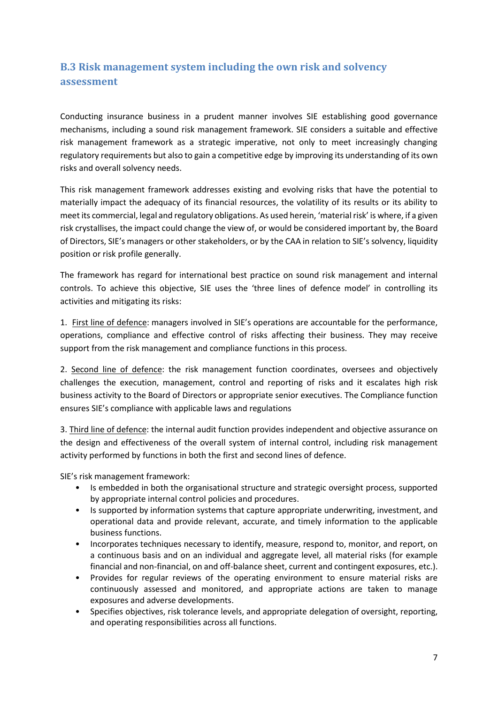## <span id="page-6-0"></span>**B.3 Risk management system including the own risk and solvency assessment**

Conducting insurance business in a prudent manner involves SIE establishing good governance mechanisms, including a sound risk management framework. SIE considers a suitable and effective risk management framework as a strategic imperative, not only to meet increasingly changing regulatory requirements but also to gain a competitive edge by improving its understanding of its own risks and overall solvency needs.

This risk management framework addresses existing and evolving risks that have the potential to materially impact the adequacy of its financial resources, the volatility of its results or its ability to meet its commercial, legal and regulatory obligations. As used herein, 'material risk' is where, if a given risk crystallises, the impact could change the view of, or would be considered important by, the Board of Directors, SIE's managers or other stakeholders, or by the CAA in relation to SIE's solvency, liquidity position or risk profile generally.

The framework has regard for international best practice on sound risk management and internal controls. To achieve this objective, SIE uses the 'three lines of defence model' in controlling its activities and mitigating its risks:

1. First line of defence: managers involved in SIE's operations are accountable for the performance, operations, compliance and effective control of risks affecting their business. They may receive support from the risk management and compliance functions in this process.

2. Second line of defence: the risk management function coordinates, oversees and objectively challenges the execution, management, control and reporting of risks and it escalates high risk business activity to the Board of Directors or appropriate senior executives. The Compliance function ensures SIE's compliance with applicable laws and regulations

3. Third line of defence: the internal audit function provides independent and objective assurance on the design and effectiveness of the overall system of internal control, including risk management activity performed by functions in both the first and second lines of defence.

SIE's risk management framework:

- Is embedded in both the organisational structure and strategic oversight process, supported by appropriate internal control policies and procedures.
- Is supported by information systems that capture appropriate underwriting, investment, and operational data and provide relevant, accurate, and timely information to the applicable business functions.
- Incorporates techniques necessary to identify, measure, respond to, monitor, and report, on a continuous basis and on an individual and aggregate level, all material risks (for example financial and non-financial, on and off-balance sheet, current and contingent exposures, etc.).
- Provides for regular reviews of the operating environment to ensure material risks are continuously assessed and monitored, and appropriate actions are taken to manage exposures and adverse developments.
- Specifies objectives, risk tolerance levels, and appropriate delegation of oversight, reporting, and operating responsibilities across all functions.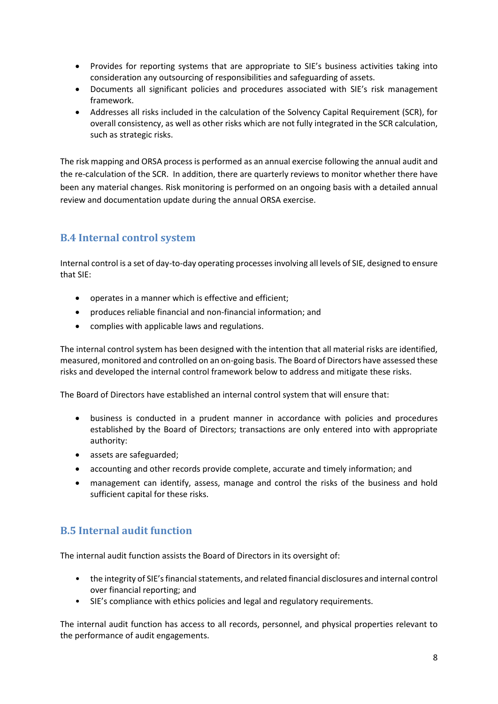- Provides for reporting systems that are appropriate to SIE's business activities taking into consideration any outsourcing of responsibilities and safeguarding of assets.
- Documents all significant policies and procedures associated with SIE's risk management framework.
- Addresses all risks included in the calculation of the Solvency Capital Requirement (SCR), for overall consistency, as well as other risks which are not fully integrated in the SCR calculation, such as strategic risks.

The risk mapping and ORSA process is performed as an annual exercise following the annual audit and the re-calculation of the SCR. In addition, there are quarterly reviews to monitor whether there have been any material changes. Risk monitoring is performed on an ongoing basis with a detailed annual review and documentation update during the annual ORSA exercise.

## <span id="page-7-0"></span>**B.4 Internal control system**

Internal control is a set of day-to-day operating processes involving all levels of SIE, designed to ensure that SIE:

- operates in a manner which is effective and efficient;
- produces reliable financial and non-financial information; and
- complies with applicable laws and regulations.

The internal control system has been designed with the intention that all material risks are identified, measured, monitored and controlled on an on-going basis. The Board of Directors have assessed these risks and developed the internal control framework below to address and mitigate these risks.

The Board of Directors have established an internal control system that will ensure that:

- business is conducted in a prudent manner in accordance with policies and procedures established by the Board of Directors; transactions are only entered into with appropriate authority:
- assets are safeguarded;
- accounting and other records provide complete, accurate and timely information; and
- management can identify, assess, manage and control the risks of the business and hold sufficient capital for these risks.

## <span id="page-7-1"></span>**B.5 Internal audit function**

The internal audit function assists the Board of Directors in its oversight of:

- the integrity of SIE's financial statements, and related financial disclosures and internal control over financial reporting; and
- SIE's compliance with ethics policies and legal and regulatory requirements.

The internal audit function has access to all records, personnel, and physical properties relevant to the performance of audit engagements.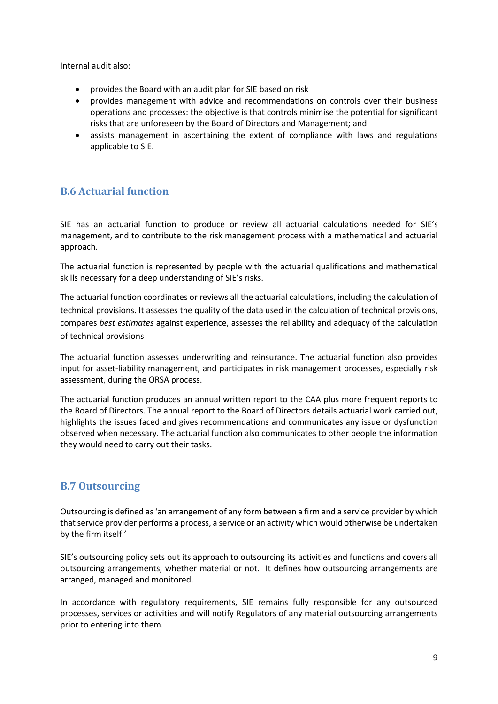Internal audit also:

- provides the Board with an audit plan for SIE based on risk
- provides management with advice and recommendations on controls over their business operations and processes: the objective is that controls minimise the potential for significant risks that are unforeseen by the Board of Directors and Management; and
- assists management in ascertaining the extent of compliance with laws and regulations applicable to SIE.

### <span id="page-8-0"></span>**B.6 Actuarial function**

SIE has an actuarial function to produce or review all actuarial calculations needed for SIE's management, and to contribute to the risk management process with a mathematical and actuarial approach.

The actuarial function is represented by people with the actuarial qualifications and mathematical skills necessary for a deep understanding of SIE's risks.

The actuarial function coordinates or reviews all the actuarial calculations, including the calculation of technical provisions. It assesses the quality of the data used in the calculation of technical provisions, compares *best estimates* against experience, assesses the reliability and adequacy of the calculation of technical provisions

The actuarial function assesses underwriting and reinsurance. The actuarial function also provides input for asset-liability management, and participates in risk management processes, especially risk assessment, during the ORSA process.

The actuarial function produces an annual written report to the CAA plus more frequent reports to the Board of Directors. The annual report to the Board of Directors details actuarial work carried out, highlights the issues faced and gives recommendations and communicates any issue or dysfunction observed when necessary. The actuarial function also communicates to other people the information they would need to carry out their tasks.

### <span id="page-8-1"></span>**B.7 Outsourcing**

Outsourcing is defined as 'an arrangement of any form between a firm and a service provider by which that service provider performs a process, a service or an activity which would otherwise be undertaken by the firm itself.'

SIE's outsourcing policy sets out its approach to outsourcing its activities and functions and covers all outsourcing arrangements, whether material or not. It defines how outsourcing arrangements are arranged, managed and monitored.

In accordance with regulatory requirements, SIE remains fully responsible for any outsourced processes, services or activities and will notify Regulators of any material outsourcing arrangements prior to entering into them.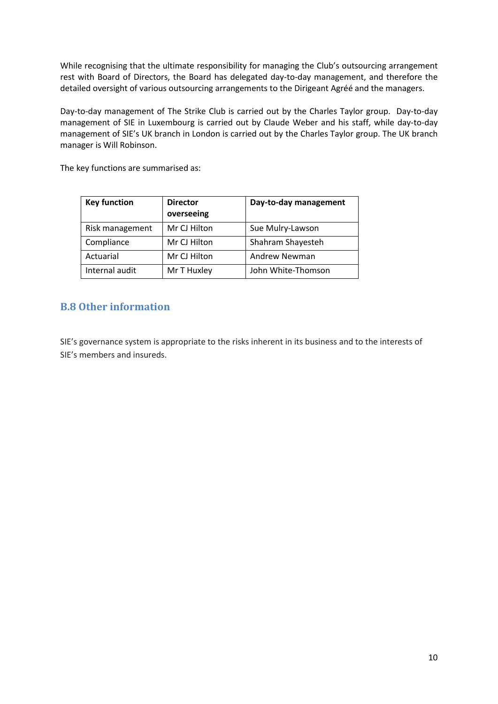While recognising that the ultimate responsibility for managing the Club's outsourcing arrangement rest with Board of Directors, the Board has delegated day-to-day management, and therefore the detailed oversight of various outsourcing arrangements to the Dirigeant Agréé and the managers.

Day-to-day management of The Strike Club is carried out by the Charles Taylor group. Day-to-day management of SIE in Luxembourg is carried out by Claude Weber and his staff, while day-to-day management of SIE's UK branch in London is carried out by the Charles Taylor group. The UK branch manager is Will Robinson.

The key functions are summarised as:

| <b>Key function</b> | <b>Director</b><br>overseeing | Day-to-day management |
|---------------------|-------------------------------|-----------------------|
| Risk management     | Mr CJ Hilton                  | Sue Mulry-Lawson      |
| Compliance          | Mr CJ Hilton                  | Shahram Shayesteh     |
| Actuarial           | Mr CJ Hilton                  | Andrew Newman         |
| Internal audit      | Mr T Huxley                   | John White-Thomson    |

### <span id="page-9-0"></span>**B.8 Other information**

SIE's governance system is appropriate to the risks inherent in its business and to the interests of SIE's members and insureds.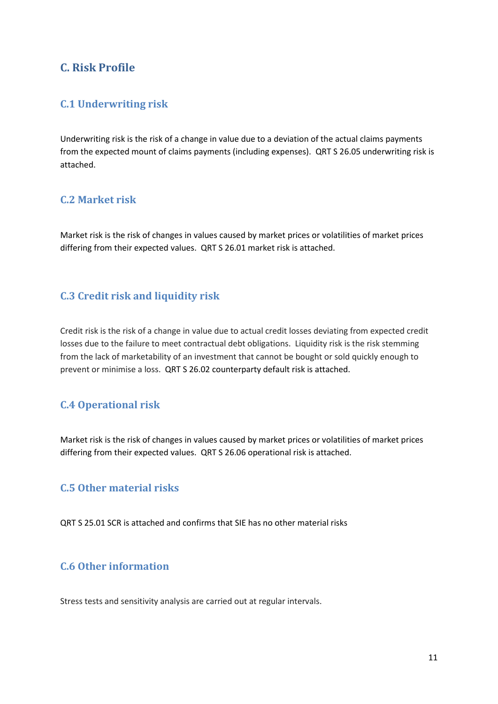## <span id="page-10-0"></span>**C. Risk Profile**

### <span id="page-10-1"></span>**C.1 Underwriting risk**

Underwriting risk is the risk of a change in value due to a deviation of the actual claims payments from the expected mount of claims payments (including expenses). QRT S 26.05 underwriting risk is attached.

### <span id="page-10-2"></span>**C.2 Market risk**

Market risk is the risk of changes in values caused by market prices or volatilities of market prices differing from their expected values. QRT S 26.01 market risk is attached.

### <span id="page-10-3"></span>**C.3 Credit risk and liquidity risk**

Credit risk is the risk of a change in value due to actual credit losses deviating from expected credit losses due to the failure to meet contractual debt obligations. Liquidity risk is the risk stemming from the lack of marketability of an investment that cannot be bought or sold quickly enough to prevent or minimise a loss. QRT S 26.02 counterparty default risk is attached.

## <span id="page-10-4"></span>**C.4 Operational risk**

Market risk is the risk of changes in values caused by market prices or volatilities of market prices differing from their expected values. QRT S 26.06 operational risk is attached.

### <span id="page-10-5"></span>**C.5 Other material risks**

QRT S 25.01 SCR is attached and confirms that SIE has no other material risks

## <span id="page-10-6"></span>**C.6 Other information**

Stress tests and sensitivity analysis are carried out at regular intervals.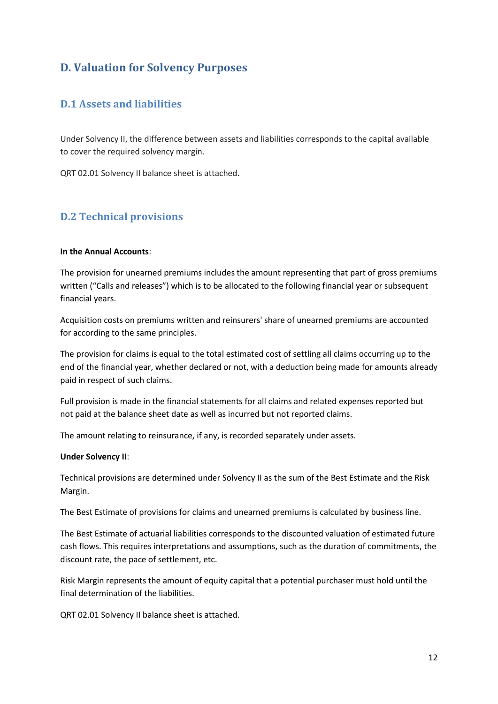## <span id="page-11-0"></span>**D. Valuation for Solvency Purposes**

## <span id="page-11-1"></span>**D.1 Assets and liabilities**

Under Solvency II, the difference between assets and liabilities corresponds to the capital available to cover the required solvency margin.

QRT 02.01 Solvency II balance sheet is attached.

#### <span id="page-11-2"></span>**D.2 Technical provisions**

#### **In the Annual Accounts**:

The provision for unearned premiums includes the amount representing that part of gross premiums written ("Calls and releases") which is to be allocated to the following financial year or subsequent financial years.

Acquisition costs on premiums written and reinsurers' share of unearned premiums are accounted for according to the same principles.

The provision for claims is equal to the total estimated cost of settling all claims occurring up to the end of the financial year, whether declared or not, with a deduction being made for amounts already paid in respect of such claims.

Full provision is made in the financial statements for all claims and related expenses reported but not paid at the balance sheet date as well as incurred but not reported claims.

The amount relating to reinsurance, if any, is recorded separately under assets.

#### **Under Solvency II**:

Technical provisions are determined under Solvency II as the sum of the Best Estimate and the Risk Margin.

The Best Estimate of provisions for claims and unearned premiums is calculated by business line.

The Best Estimate of actuarial liabilities corresponds to the discounted valuation of estimated future cash flows. This requires interpretations and assumptions, such as the duration of commitments, the discount rate, the pace of settlement, etc.

Risk Margin represents the amount of equity capital that a potential purchaser must hold until the final determination of the liabilities.

QRT 02.01 Solvency II balance sheet is attached.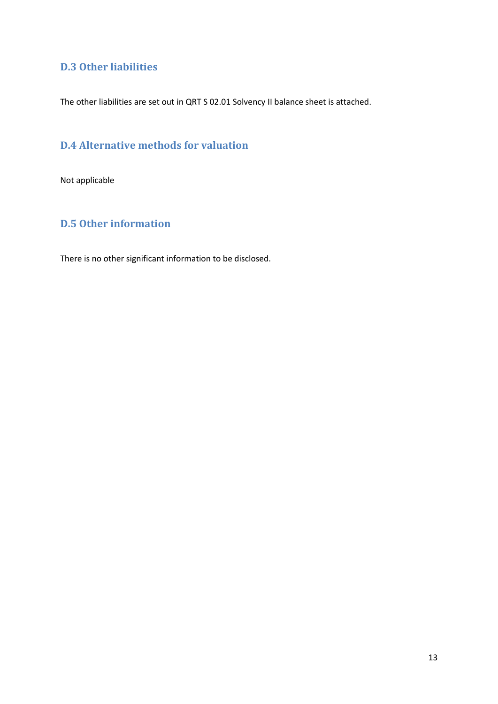### <span id="page-12-0"></span>**D.3 Other liabilities**

The other liabilities are set out in QRT S 02.01 Solvency II balance sheet is attached.

## <span id="page-12-1"></span>**D.4 Alternative methods for valuation**

Not applicable

## <span id="page-12-2"></span>**D.5 Other information**

There is no other significant information to be disclosed.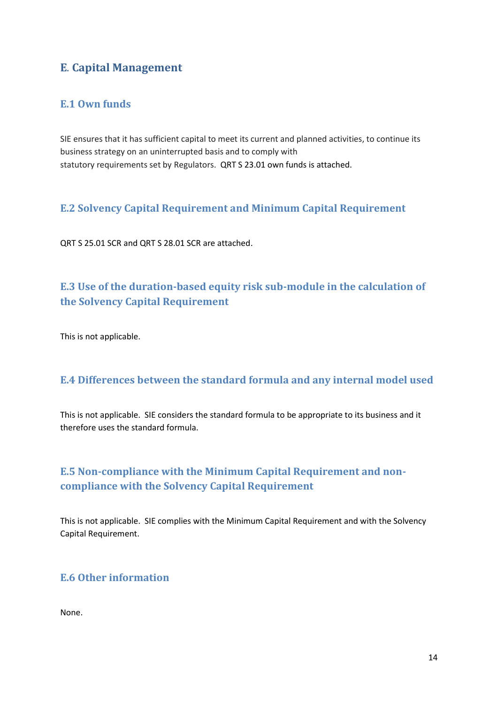## <span id="page-13-0"></span>**E**. **Capital Management**

### <span id="page-13-1"></span>**E.1 Own funds**

SIE ensures that it has sufficient capital to meet its current and planned activities, to continue its business strategy on an uninterrupted basis and to comply with statutory requirements set by Regulators. QRT S 23.01 own funds is attached.

### <span id="page-13-2"></span>**E.2 Solvency Capital Requirement and Minimum Capital Requirement**

QRT S 25.01 SCR and QRT S 28.01 SCR are attached.

## <span id="page-13-3"></span>**E.3 Use of the duration-based equity risk sub-module in the calculation of the Solvency Capital Requirement**

This is not applicable.

### <span id="page-13-4"></span>**E.4 Differences between the standard formula and any internal model used**

This is not applicable. SIE considers the standard formula to be appropriate to its business and it therefore uses the standard formula.

## <span id="page-13-5"></span>**E.5 Non-compliance with the Minimum Capital Requirement and noncompliance with the Solvency Capital Requirement**

This is not applicable. SIE complies with the Minimum Capital Requirement and with the Solvency Capital Requirement.

### <span id="page-13-6"></span>**E.6 Other information**

None.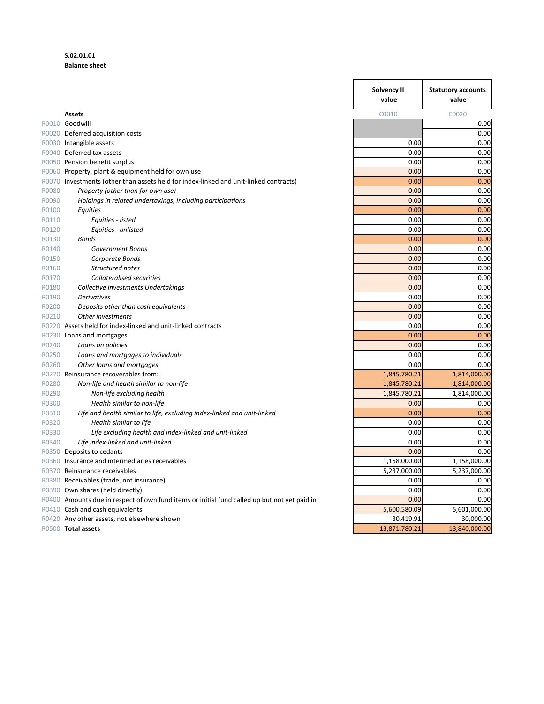#### **S.02.01.01 Balance sheet**

|       |                                                                                              | Solvency II<br>value | <b>Statutory accounts</b><br>value |
|-------|----------------------------------------------------------------------------------------------|----------------------|------------------------------------|
|       | <b>Assets</b>                                                                                | C0010                | C0020                              |
|       | R0010 Goodwill                                                                               |                      | 0.00                               |
|       | R0020 Deferred acquisition costs                                                             |                      | 0.00                               |
|       | R0030 Intangible assets                                                                      | 0.00                 | 0.00                               |
|       | R0040 Deferred tax assets                                                                    | 0.00                 | 0.00                               |
|       | R0050 Pension benefit surplus                                                                | 0.00                 | 0.00                               |
|       | R0060 Property, plant & equipment held for own use                                           | 0.00                 | 0.00                               |
|       | R0070 Investments (other than assets held for index-linked and unit-linked contracts)        | 0.00                 | 0.00                               |
| R0080 | Property (other than for own use)                                                            | 0.00                 | 0.00                               |
| R0090 | Holdings in related undertakings, including participations                                   | 0.00                 | 0.00                               |
| R0100 | Equities                                                                                     | 0.00                 | 0.00                               |
| R0110 | Equities - listed                                                                            | 0.00                 | 0.00                               |
| R0120 | Equities - unlisted                                                                          | 0.00                 | 0.00                               |
| R0130 | <b>Bonds</b>                                                                                 | 0.00                 | 0.00                               |
| R0140 | Government Bonds                                                                             | 0.00                 | 0.00                               |
| R0150 | Corporate Bonds                                                                              | 0.00                 | 0.00                               |
| R0160 | Structured notes                                                                             | 0.00                 | 0.00                               |
| R0170 | <b>Collateralised securities</b>                                                             | 0.00                 | 0.00                               |
| R0180 | Collective Investments Undertakings                                                          | 0.00                 | 0.00                               |
| R0190 | <b>Derivatives</b>                                                                           | 0.00                 | 0.00                               |
| R0200 | Deposits other than cash equivalents                                                         | 0.00                 | 0.00                               |
| R0210 | Other investments                                                                            | 0.00                 | 0.00                               |
|       | R0220 Assets held for index-linked and unit-linked contracts                                 | 0.00                 | 0.00                               |
|       | R0230 Loans and mortgages                                                                    | 0.00                 | 0.00                               |
| R0240 | Loans on policies                                                                            | 0.00                 | 0.00                               |
| R0250 | Loans and mortgages to individuals                                                           | 0.00<br>0.00         | 0.00<br>0.00                       |
| R0260 | Other loans and mortgages<br>R0270 Reinsurance recoverables from:                            | 1,845,780.21         | 1,814,000.00                       |
| R0280 | Non-life and health similar to non-life                                                      | 1,845,780.21         |                                    |
| R0290 | Non-life excluding health                                                                    | 1,845,780.21         | 1,814,000.00<br>1,814,000.00       |
| R0300 | Health similar to non-life                                                                   | 0.00                 | 0.00                               |
| R0310 | Life and health similar to life, excluding index-linked and unit-linked                      | 0.00                 | 0.00                               |
| R0320 | Health similar to life                                                                       | 0.00                 | 0.00                               |
| R0330 | Life excluding health and index-linked and unit-linked                                       | 0.00                 | 0.00                               |
| R0340 | Life index-linked and unit-linked                                                            | 0.00                 | 0.00                               |
|       | R0350 Deposits to cedants                                                                    | 0.00                 | 0.00                               |
|       | R0360 Insurance and intermediaries receivables                                               | 1,158,000.00         | 1,158,000.00                       |
|       | R0370 Reinsurance receivables                                                                | 5,237,000.00         | 5,237,000.00                       |
|       | R0380 Receivables (trade, not insurance)                                                     | 0.00                 | 0.00                               |
|       | R0390 Own shares (held directly)                                                             | 0.00                 | 0.00                               |
|       | R0400 Amounts due in respect of own fund items or initial fund called up but not yet paid in | 0.00                 | 0.00                               |
|       | R0410 Cash and cash equivalents                                                              | 5,600,580.09         | 5,601,000.00                       |
|       | R0420 Any other assets, not elsewhere shown                                                  | 30,419.91            | 30,000.00                          |
|       | R0500 Total assets                                                                           | 13,871,780.21        | 13,840,000.00                      |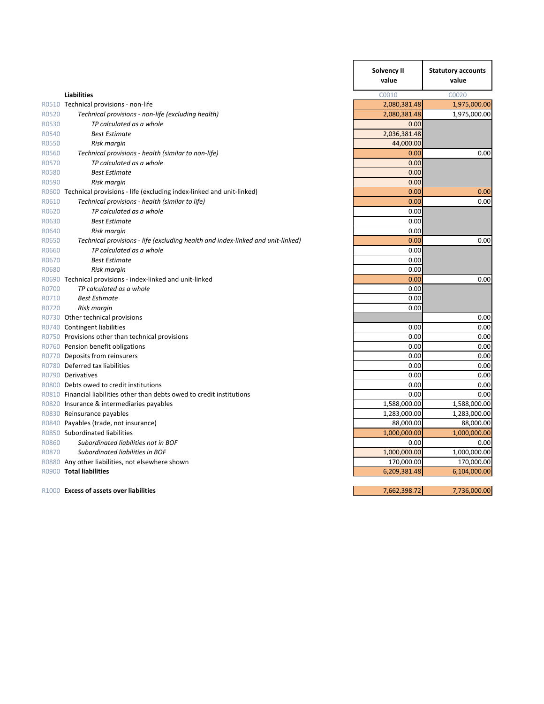|       |                                                                                 | Solvency II<br>value | <b>Statutory accounts</b><br>value |
|-------|---------------------------------------------------------------------------------|----------------------|------------------------------------|
|       | <b>Liabilities</b>                                                              | C0010                | C0020                              |
|       | R0510 Technical provisions - non-life                                           | 2,080,381.48         | 1,975,000.00                       |
| R0520 | Technical provisions - non-life (excluding health)                              | 2,080,381.48         | 1,975,000.00                       |
| R0530 | TP calculated as a whole                                                        | 0.00                 |                                    |
| R0540 | <b>Best Estimate</b>                                                            | 2,036,381.48         |                                    |
| R0550 | Risk margin                                                                     | 44,000.00            |                                    |
| R0560 | Technical provisions - health (similar to non-life)                             | 0.00                 | 0.00                               |
| R0570 | TP calculated as a whole                                                        | 0.00                 |                                    |
| R0580 | <b>Best Estimate</b>                                                            | 0.00                 |                                    |
| R0590 | Risk margin                                                                     | 0.00                 |                                    |
|       | R0600 Technical provisions - life (excluding index-linked and unit-linked)      | 0.00                 | 0.00                               |
| R0610 | Technical provisions - health (similar to life)                                 | 0.00                 | 0.00                               |
| R0620 | TP calculated as a whole                                                        | 0.00                 |                                    |
| R0630 | <b>Best Estimate</b>                                                            | 0.00                 |                                    |
| R0640 | Risk margin                                                                     | 0.00                 |                                    |
| R0650 | Technical provisions - life (excluding health and index-linked and unit-linked) | 0.00                 | 0.00                               |
| R0660 | TP calculated as a whole                                                        | 0.00                 |                                    |
| R0670 | <b>Best Estimate</b>                                                            | 0.00                 |                                    |
| R0680 | Risk margin                                                                     | 0.00                 |                                    |
|       | R0690 Technical provisions - index-linked and unit-linked                       | 0.00                 | 0.00                               |
| R0700 | TP calculated as a whole                                                        | 0.00                 |                                    |
| R0710 | <b>Best Estimate</b>                                                            | 0.00                 |                                    |
| R0720 | Risk margin                                                                     | 0.00                 |                                    |
|       | R0730 Other technical provisions                                                |                      | 0.00                               |
|       | R0740 Contingent liabilities                                                    | 0.00                 | 0.00                               |
|       | R0750 Provisions other than technical provisions                                | 0.00                 | 0.00                               |
|       | R0760 Pension benefit obligations                                               | 0.00                 | 0.00                               |
|       | R0770 Deposits from reinsurers                                                  | 0.00                 | 0.00                               |
|       | R0780 Deferred tax liabilities                                                  | 0.00                 | 0.00                               |
|       | R0790 Derivatives                                                               | 0.00                 | 0.00                               |
|       | R0800 Debts owed to credit institutions                                         | 0.00                 | 0.00                               |
|       | R0810 Financial liabilities other than debts owed to credit institutions        | 0.00                 | 0.00                               |
|       | R0820 Insurance & intermediaries payables                                       | 1,588,000.00         | 1,588,000.00                       |
|       | R0830 Reinsurance payables                                                      | 1,283,000.00         | 1,283,000.00                       |
|       | R0840 Payables (trade, not insurance)                                           | 88,000.00            | 88,000.00                          |
|       | R0850 Subordinated liabilities                                                  | 1,000,000.00         | 1,000,000.00                       |
| R0860 | Subordinated liabilities not in BOF                                             | 0.00                 | 0.00                               |
| R0870 | Subordinated liabilities in BOF                                                 | 1,000,000.00         | 1,000,000.00                       |
|       | R0880 Any other liabilities, not elsewhere shown                                | 170,000.00           | 170,000.00                         |
|       | R0900 Total liabilities                                                         | 6,209,381.48         | 6,104,000.00                       |
|       | R1000 Excess of assets over liabilities                                         | 7,662,398.72         | 7,736,000.00                       |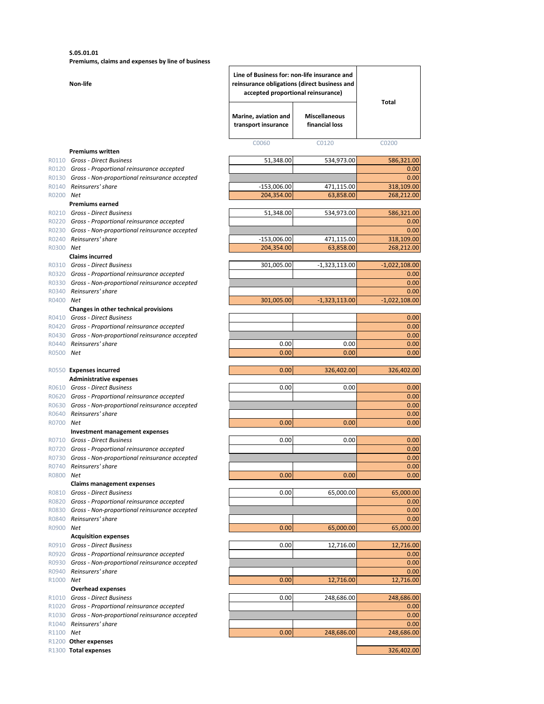**S.05.01.01**

**Premiums, claims and expenses by line of business**

|           | Non-life                                                                                               | Line of Business for: non-life insurance and<br>reinsurance obligations (direct business and<br>accepted proportional reinsurance) |                                        | Total                   |  |
|-----------|--------------------------------------------------------------------------------------------------------|------------------------------------------------------------------------------------------------------------------------------------|----------------------------------------|-------------------------|--|
|           |                                                                                                        | Marine, aviation and<br>transport insurance                                                                                        | <b>Miscellaneous</b><br>financial loss |                         |  |
|           |                                                                                                        | C0060                                                                                                                              | C0120                                  | C0200                   |  |
|           | <b>Premiums written</b><br>R0110 Gross - Direct Business                                               | 51,348.00                                                                                                                          | 534,973.00                             | 586,321.00              |  |
|           | R0120 Gross - Proportional reinsurance accepted                                                        |                                                                                                                                    |                                        | 0.00                    |  |
|           | R0130 Gross - Non-proportional reinsurance accepted                                                    |                                                                                                                                    |                                        | 0.00                    |  |
|           | R0140 Reinsurers' share                                                                                | $-153,006.00$                                                                                                                      | 471,115.00                             | 318,109.00              |  |
| R0200 Net |                                                                                                        | 204,354.00                                                                                                                         | 63,858.00                              | 268,212.00              |  |
|           | <b>Premiums earned</b><br>R0210 Gross - Direct Business                                                | 51,348.00                                                                                                                          | 534,973.00                             | 586,321.00              |  |
|           | R0220 Gross - Proportional reinsurance accepted                                                        |                                                                                                                                    |                                        | 0.00                    |  |
|           | R0230 Gross - Non-proportional reinsurance accepted                                                    |                                                                                                                                    |                                        | 0.00                    |  |
|           | R0240 Reinsurers' share                                                                                | $-153,006.00$                                                                                                                      | 471,115.00                             | 318,109.00              |  |
| R0300 Net |                                                                                                        | 204,354.00                                                                                                                         | 63,858.00                              | 268,212.00              |  |
|           | <b>Claims incurred</b>                                                                                 |                                                                                                                                    |                                        |                         |  |
|           | R0310 Gross - Direct Business<br>R0320 Gross - Proportional reinsurance accepted                       | 301,005.00                                                                                                                         | $-1,323,113.00$                        | $-1,022,108.00$<br>0.00 |  |
|           | R0330 Gross - Non-proportional reinsurance accepted                                                    |                                                                                                                                    |                                        | 0.00                    |  |
|           | R0340 Reinsurers' share                                                                                |                                                                                                                                    |                                        | 0.00                    |  |
| R0400 Net |                                                                                                        | 301,005.00                                                                                                                         | $-1,323,113.00$                        | $-1,022,108.00$         |  |
|           | Changes in other technical provisions                                                                  |                                                                                                                                    |                                        |                         |  |
|           | R0410 Gross - Direct Business                                                                          |                                                                                                                                    |                                        | 0.00                    |  |
|           | R0420 Gross - Proportional reinsurance accepted<br>R0430 Gross - Non-proportional reinsurance accepted |                                                                                                                                    |                                        | 0.00<br>0.00            |  |
|           | R0440 Reinsurers' share                                                                                | 0.00                                                                                                                               | 0.00                                   | 0.00                    |  |
| R0500 Net |                                                                                                        | 0.00                                                                                                                               | 0.00                                   | 0.00                    |  |
|           |                                                                                                        |                                                                                                                                    |                                        |                         |  |
|           | R0550 Expenses incurred                                                                                | 0.00                                                                                                                               | 326,402.00                             | 326,402.00              |  |
|           | <b>Administrative expenses</b>                                                                         |                                                                                                                                    |                                        |                         |  |
|           | R0610 Gross - Direct Business                                                                          | 0.00                                                                                                                               | 0.00                                   | 0.00<br>0.00            |  |
|           | R0620 Gross - Proportional reinsurance accepted<br>R0630 Gross - Non-proportional reinsurance accepted |                                                                                                                                    |                                        | 0.00                    |  |
|           | R0640 Reinsurers' share                                                                                |                                                                                                                                    |                                        | 0.00                    |  |
| R0700 Net |                                                                                                        | 0.00                                                                                                                               | 0.00                                   | 0.00                    |  |
|           | <b>Investment management expenses</b>                                                                  |                                                                                                                                    |                                        |                         |  |
|           | R0710 Gross - Direct Business                                                                          | 0.00                                                                                                                               | 0.00                                   | 0.00                    |  |
|           | R0720 Gross - Proportional reinsurance accepted<br>R0730 Gross - Non-proportional reinsurance accepted |                                                                                                                                    |                                        | 0.00                    |  |
|           | R0740 Reinsurers' share                                                                                |                                                                                                                                    |                                        | 0.00<br>0.00            |  |
| R0800 Net |                                                                                                        | 0.00                                                                                                                               | 0.00                                   | 0.00                    |  |
|           | <b>Claims management expenses</b>                                                                      |                                                                                                                                    |                                        |                         |  |
|           | R0810 Gross - Direct Business                                                                          | 0.00                                                                                                                               | 65,000.00                              | 65,000.00               |  |
|           | R0820 Gross - Proportional reinsurance accepted                                                        |                                                                                                                                    |                                        | 0.00                    |  |
|           | R0830 Gross - Non-proportional reinsurance accepted                                                    |                                                                                                                                    |                                        | 0.00                    |  |
| R0900 Net | R0840 Reinsurers' share                                                                                | 0.00                                                                                                                               | 65,000.00                              | 0.00<br>65,000.00       |  |
|           | <b>Acquisition expenses</b>                                                                            |                                                                                                                                    |                                        |                         |  |
|           | R0910 Gross - Direct Business                                                                          | 0.00                                                                                                                               | 12,716.00                              | 12,716.00               |  |
|           | R0920 Gross - Proportional reinsurance accepted                                                        |                                                                                                                                    |                                        | 0.00                    |  |
|           | R0930 Gross - Non-proportional reinsurance accepted                                                    |                                                                                                                                    |                                        | 0.00                    |  |
|           | R0940 Reinsurers' share                                                                                |                                                                                                                                    |                                        | 0.00                    |  |
| R1000 Net | <b>Overhead expenses</b>                                                                               | 0.00                                                                                                                               | 12,716.00                              | 12,716.00               |  |
|           | R1010 Gross - Direct Business                                                                          | 0.00                                                                                                                               | 248,686.00                             | 248,686.00              |  |
|           | R1020 Gross - Proportional reinsurance accepted                                                        |                                                                                                                                    |                                        | 0.00                    |  |
|           | R1030 Gross - Non-proportional reinsurance accepted                                                    |                                                                                                                                    |                                        | 0.00                    |  |
|           | R1040 Reinsurers' share                                                                                |                                                                                                                                    |                                        | 0.00                    |  |
| R1100 Net |                                                                                                        | 0.00                                                                                                                               | 248,686.00                             | 248,686.00              |  |
|           | R1200 Other expenses<br>R1300 Total expenses                                                           |                                                                                                                                    |                                        | 326,402.00              |  |
|           |                                                                                                        |                                                                                                                                    |                                        |                         |  |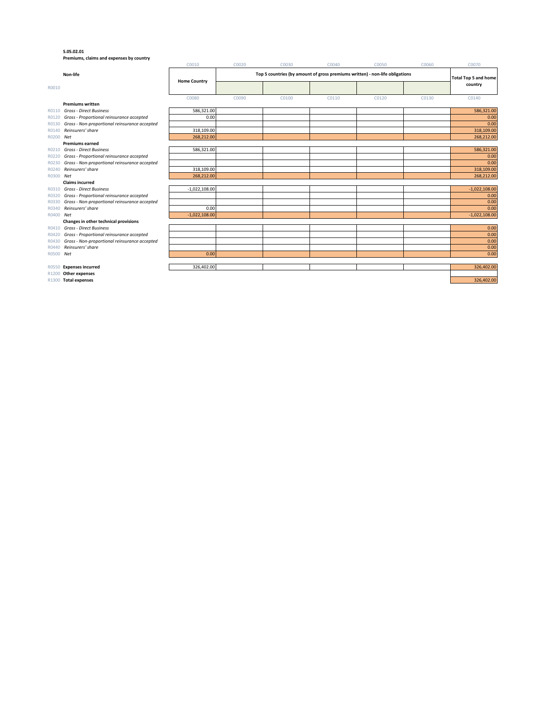#### **S.05.02.01**

**Premiums, claims and expenses by country**

|                |                                                                      | C0010               | C0020 | C0030                                                                                                       | C0040 | C0050 | C0060 | C0070           |
|----------------|----------------------------------------------------------------------|---------------------|-------|-------------------------------------------------------------------------------------------------------------|-------|-------|-------|-----------------|
|                | Non-life                                                             |                     |       | Top 5 countries (by amount of gross premiums written) - non-life obligations<br><b>Total Top 5 and home</b> |       |       |       |                 |
| R0010          |                                                                      | <b>Home Country</b> |       |                                                                                                             |       |       |       | country         |
|                |                                                                      | C0080               | C0090 | C0100                                                                                                       | C0110 | C0120 | C0130 | C0140           |
|                | <b>Premiums written</b>                                              |                     |       |                                                                                                             |       |       |       |                 |
| R0110          | <b>Gross - Direct Business</b>                                       | 586,321.00          |       |                                                                                                             |       |       |       | 586,321.00      |
| R0120          | Gross - Proportional reinsurance accepted                            | 0.00                |       |                                                                                                             |       |       |       | 0.00            |
| R0130          | Gross - Non-proportional reinsurance accepted                        |                     |       |                                                                                                             |       |       |       | 0.00            |
| R0140          | Reinsurers' share                                                    | 318,109.00          |       |                                                                                                             |       |       |       | 318,109.00      |
| R0200 Net      |                                                                      | 268,212.00          |       |                                                                                                             |       |       |       | 268,212.00      |
|                | <b>Premiums earned</b>                                               |                     |       |                                                                                                             |       |       |       |                 |
| R0210          | <b>Gross - Direct Business</b>                                       | 586.321.00          |       |                                                                                                             |       |       |       | 586.321.00      |
| R0220          | Gross - Proportional reinsurance accepted                            |                     |       |                                                                                                             |       |       |       | 0.00            |
| R0230          | Gross - Non-proportional reinsurance accepted                        |                     |       |                                                                                                             |       |       |       | 0.00            |
| R0240          | Reinsurers' share                                                    | 318,109.00          |       |                                                                                                             |       |       |       | 318,109.00      |
| R0300 Net      |                                                                      | 268,212.00          |       |                                                                                                             |       |       |       | 268,212.00      |
|                | <b>Claims incurred</b>                                               |                     |       |                                                                                                             |       |       |       |                 |
| R0310          | <b>Gross - Direct Business</b>                                       | $-1,022,108.00$     |       |                                                                                                             |       |       |       | $-1,022,108.00$ |
| R0320          | Gross - Proportional reinsurance accepted                            |                     |       |                                                                                                             |       |       |       | 0.00            |
| R0330          | Gross - Non-proportional reinsurance accepted                        |                     |       |                                                                                                             |       |       |       | 0.00            |
| R0340          | Reinsurers' share                                                    | 0.00                |       |                                                                                                             |       |       |       | 0.00            |
| R0400 Net      |                                                                      | $-1,022,108.00$     |       |                                                                                                             |       |       |       | $-1,022,108.00$ |
|                | Changes in other technical provisions                                |                     |       |                                                                                                             |       |       |       |                 |
| R0410<br>R0420 | Gross - Direct Business<br>Gross - Proportional reinsurance accepted |                     |       |                                                                                                             |       |       |       | 0.00<br>0.00    |
| R0430          | Gross - Non-proportional reinsurance accepted                        |                     |       |                                                                                                             |       |       |       | 0.00            |
| R0440          | Reinsurers' share                                                    |                     |       |                                                                                                             |       |       |       |                 |
| R0500          | Net                                                                  | 0.00                |       |                                                                                                             |       |       |       | 0.00<br>0.00    |
|                |                                                                      |                     |       |                                                                                                             |       |       |       |                 |
| R0550          | <b>Expenses incurred</b>                                             | 326.402.00          |       |                                                                                                             |       |       |       | 326,402.00      |
| R1200          | Other expenses                                                       |                     |       |                                                                                                             |       |       |       |                 |
|                | R1300 Total expenses                                                 |                     |       |                                                                                                             |       |       |       | 326,402.00      |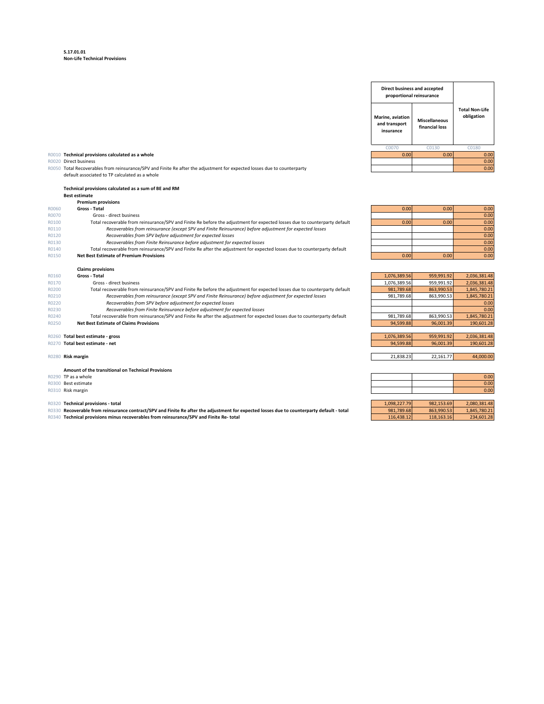#### **S.17.01.01 Non-Life Technical Provisions**

#### R0020 Direct business

R0050 Total Recoverables from reinsurance/SPV and Finite Re after the adjustment for expected losses due to counterparty and the comment of expected losses due to counterparty and the comment of experiment of expected loss default associated to TP calculated as a whole

|       | Technical provisions calculated as a sum of BE and RM                                                                      |              |            |              |
|-------|----------------------------------------------------------------------------------------------------------------------------|--------------|------------|--------------|
|       | <b>Best estimate</b>                                                                                                       |              |            |              |
|       | <b>Premium provisions</b>                                                                                                  |              |            |              |
| R0060 | Gross - Total                                                                                                              | 0.00         | 0.00       | 0.00         |
| R0070 | Gross - direct business                                                                                                    |              |            | 0.00         |
| R0100 | Total recoverable from reinsurance/SPV and Finite Re before the adjustment for expected losses due to counterparty default | 0.00         | 0.00       | 0.00         |
| R0110 | Recoverables from reinsurance (except SPV and Finite Reinsurance) before adjustment for expected losses                    |              |            | 0.00         |
| R0120 | Recoverables from SPV before adjustment for expected losses                                                                |              |            | 0.00         |
| R0130 | Recoverables from Finite Reinsurance before adjustment for expected losses                                                 |              |            | 0.00         |
| R0140 | Total recoverable from reinsurance/SPV and Finite Re after the adjustment for expected losses due to counterparty default  |              |            | 0.00         |
| R0150 | <b>Net Best Estimate of Premium Provisions</b>                                                                             | 0.00         | 0.00       | 0.00         |
|       |                                                                                                                            |              |            |              |
|       | <b>Claims provisions</b>                                                                                                   |              |            |              |
| R0160 | Gross - Total                                                                                                              | 1,076,389.56 | 959,991.92 | 2,036,381.48 |
| R0170 | Gross - direct business                                                                                                    | 1,076,389.56 | 959,991.92 | 2,036,381.48 |
| R0200 | Total recoverable from reinsurance/SPV and Finite Re before the adjustment for expected losses due to counterparty default | 981,789.68   | 863,990.53 | 1,845,780.21 |
| R0210 | Recoverables from reinsurance (except SPV and Finite Reinsurance) before adjustment for expected losses                    | 981,789.68   | 863,990.53 | 1,845,780.21 |
| R0220 | Recoverables from SPV before adjustment for expected losses                                                                |              |            | 0.00         |
| R0230 | Recoverables from Finite Reinsurance before adjustment for expected losses                                                 |              |            | 0.00         |
| R0240 | Total recoverable from reinsurance/SPV and Finite Re after the adjustment for expected losses due to counterparty default  | 981,789.68   | 863,990.53 | 1,845,780.21 |
| R0250 | <b>Net Best Estimate of Claims Provisions</b>                                                                              | 94,599.88    | 96,001.39  | 190,601.28   |
|       |                                                                                                                            |              |            |              |

#### R0260 **Total best estimate - gross**

**Amount of the transitional on Technical Provisions**

- R0290 TP as a whole
- 
- 

#### **R0320 Technical provisions - total**

- R0330 Recoverable from reinsurance contract/SPV and Finite Re after the adjustment for expected losses due to counterparty default total
- R0340 **Technical provisions minus recoverables from reinsurance/SPV and Finite Re- total**

**Marine, aviation and transport insurance Miscellaneous financial loss** C0070 C0130 C0180 R0010 **Technical provisions calculated as a whole** 0.00 0.00 0.00 **Direct business and accepted proportional reinsurance Total Non-Life obligation**

| 0.00 | 0.00 | 0.00 |
|------|------|------|
|      |      | 0.00 |
| 0.00 | 0.00 | 0.00 |
|      |      | 0.00 |
|      |      | 0.00 |
|      |      | 0.00 |
|      |      | 0.00 |
| 0.00 | 0.00 | 0.00 |

| R0160 | Gross - Total                                                                                                              | 1,076,389.56 | 959.991.92 | 2,036,381.48 |
|-------|----------------------------------------------------------------------------------------------------------------------------|--------------|------------|--------------|
| R0170 | Gross - direct business                                                                                                    | 1,076,389.56 | 959,991.92 | 2,036,381.48 |
| R0200 | Total recoverable from reinsurance/SPV and Finite Re before the adjustment for expected losses due to counterparty default | 981.789.68   | 863.990.53 | 1,845,780.21 |
| R0210 | Recoverables from reinsurance (except SPV and Finite Reinsurance) before adjustment for expected losses                    | 981.789.68   | 863.990.53 | 1,845,780.21 |
| R0220 | Recoverables from SPV before adjustment for expected losses                                                                |              |            | 0.00         |
| R0230 | Recoverables from Finite Reinsurance before adjustment for expected losses                                                 |              |            | 0.00         |
| R0240 | Total recoverable from reinsurance/SPV and Finite Re after the adjustment for expected losses due to counterparty default  | 981.789.68   | 863,990.53 | 1,845,780.21 |
| R0250 | <b>Net Best Estimate of Claims Provisions</b>                                                                              | 94.599.88    | 96.001.39  | 190,601.28   |
|       |                                                                                                                            |              |            |              |
| R0260 | Total best estimate - gross                                                                                                | 1.076.389.56 | 959.991.92 | 2,036,381.48 |
| R0270 | Total best estimate - net                                                                                                  | 94,599.88    | 96,001.39  | 190,601.28   |
|       |                                                                                                                            |              |            |              |
| R0280 | Risk margin                                                                                                                | 21,838.23    | 22.161.77  | 44,000.00    |
|       |                                                                                                                            |              |            |              |

| R0290 TP as a whole |  | 0.00 |
|---------------------|--|------|
| R0300 Best estimate |  | 0.00 |
| R0310 Risk margin   |  | 0.00 |

| 1.098.227.791 | 982.153.69 | 2.080.381.48 |
|---------------|------------|--------------|
| 981.789.68    | 863.990.53 | 1.845.780.21 |
| 116,438.12    | 118,163.16 | 234,601.28   |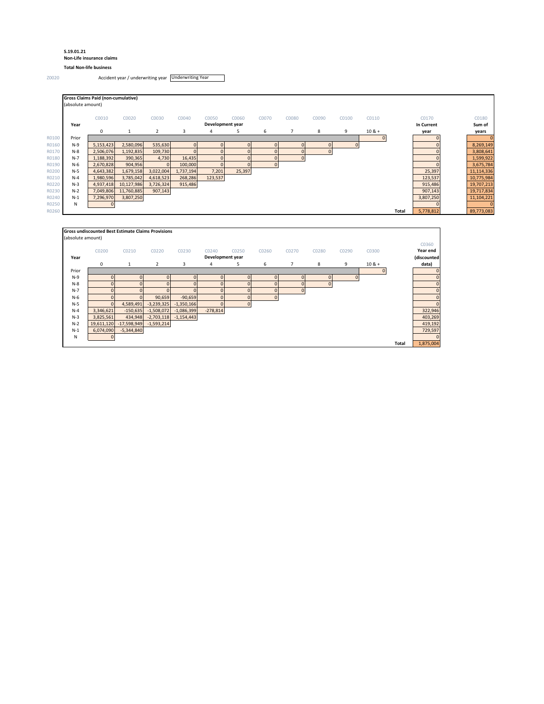#### **S.19.01.21 Non-Life insurance claims**

**Total Non-life business**

Z0020 Accident year / underwriting year Underwriting Year

|       | (absolute amount) |            |                |           |                  |          |              |       |       |       |          |              |            |            |
|-------|-------------------|------------|----------------|-----------|------------------|----------|--------------|-------|-------|-------|----------|--------------|------------|------------|
|       | C0010             | C0020      | C0030          | C0040     | C0050            | C0060    | C0070        | C0080 | C0090 | C0100 | C0110    |              | C0170      |            |
| Year  |                   |            |                |           | Development year |          |              |       |       |       |          |              | In Current |            |
|       | $\mathbf 0$       | 1          | $\overline{2}$ | 3         | 4                | 5        | 6            |       | 8     | 9     | $10 & +$ |              | year       |            |
| Prior |                   |            |                |           |                  |          |              |       |       |       |          |              |            |            |
| $N-9$ | 5,153,423         | 2,580,096  | 535,630        | $\Omega$  | $\Omega$         | $\Omega$ | $\Omega$     |       |       |       |          |              |            |            |
| $N-8$ | 2,506,076         | 1,192,835  | 109,730        | $\Omega$  |                  |          |              |       |       |       |          |              |            |            |
| $N-7$ | 1,188,392         | 390,365    | 4,730          | 16,435    | $\Omega$         |          |              |       |       |       |          |              |            |            |
| $N-6$ | 2,670,828         | 904,956    | $\Omega$       | 100,000   | $\mathbf{0}$     |          | $\mathbf{0}$ |       |       |       |          |              |            |            |
| $N-5$ | 4,643,382         | 1,679,158  | 3,022,004      | 1,737,194 | 7,201            | 25,397   |              |       |       |       |          |              | 25,397     | 11,114,336 |
| $N-4$ | 1,980,596         | 3,785,042  | 4,618,523      | 268,286   | 123,537          |          |              |       |       |       |          |              | 123,537    | 10,775,984 |
| $N-3$ | 4,937,418         | 10,127,986 | 3,726,324      | 915,486   |                  |          |              |       |       |       |          |              | 915,486    | 19,707,213 |
| $N-2$ | 7,049,806         | 11,760,885 | 907,143        |           |                  |          |              |       |       |       |          |              | 907,143    | 19,717,834 |
| $N-1$ | 7,296,970         | 3,807,250  |                |           |                  |          |              |       |       |       |          |              | 3,807,250  | 11,104,221 |
| N     | $\Omega$          |            |                |           |                  |          |              |       |       |       |          |              |            |            |
|       |                   |            |                |           |                  |          |              |       |       |       |          | <b>Total</b> | 5,778,812  | 89,773,083 |

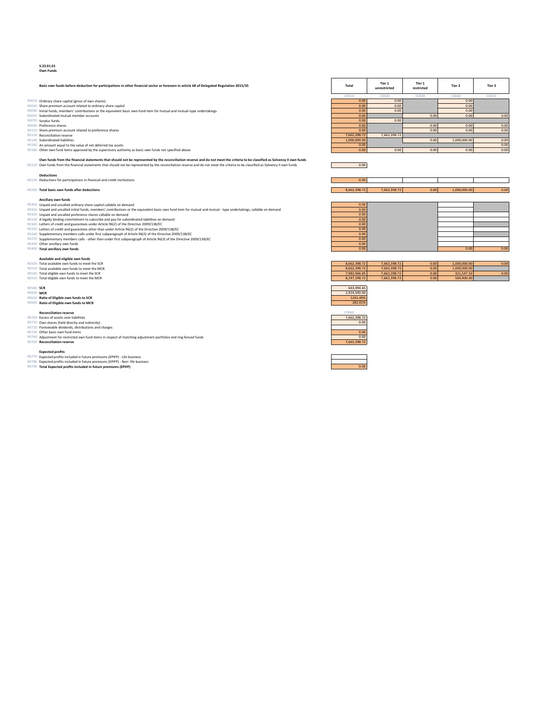#### **S.23.01.01 Own Funds**

- 
- R0010 Ordinary share capital (gross of own shares)<br>R0050 Share permium account related to ordinary share capital<br>R0040 Unital funds, members' contributions or the equivalent basic own-fund item for mutual and mutual-type u
- 
- 
- 
- 
- 
- 
- Own funds from the financial statements that should not be represented by the reconciliation reserve and do not meet the criteria to be classified as Solvency II own funds on the financial statements that should not be re
- 
- **Deductions**<br>
R0230 Deductions for participations in financial and credit institutions **0.000**
- 

- 
- Ancillary own funds<br>R0300 Unpaid and uncalled ordinary share capital callable on demand<br>R0310 Unpaid and uncalled initial funds, members' contributions or the equivalent basic own fund item for mutual and mutual type und
- 
- 
- 
- R0320 Unpaid and uncalled ordinary share capital callable on demand<br>
R0320 Unpaid and uncalled initial funds, members' contributions or the equivalent basic own fund item for mutual and mutual type undertakings, callable
- 
- 

- 
- 
- 

- **Reconciliation reserve** C0060<br> **Excess of assets over liabilities T 7,662,398.7**
- 
- 
- **R0740** Adjustment for restricted own fund items in respect of matching adjustment portfolios and ring fenced funds 0.000 and the stricted funds 0.000 and ring fenced funds 0.000 and ring fenced funds 0.000 and ring for th

- 
- 

| Basic own funds before deduction for participations in other financial sector as foreseen in article 68 of Delegated Regulation 2015/35 | Total        | Tier 1<br>unrestricted | Tier 1<br>restricted | Tier 2       | Tier 3 |
|-----------------------------------------------------------------------------------------------------------------------------------------|--------------|------------------------|----------------------|--------------|--------|
|                                                                                                                                         | C001C        | nn <sub>2</sub>        |                      | COD40        | C0050  |
| Ordinary share capital (gross of own shares)                                                                                            | 0.00         | 0.00                   |                      | 0.00         |        |
| RO030<br>Share premium account related to ordinary share capital                                                                        | 0.00         | 0.00                   |                      | 0.00         |        |
| Initial funds, members' contributions or the equivalent basic own-fund item for mutual and mutual-type undertakings                     | 0.00         | 0.00                   |                      | 0.00         |        |
| Subordinated mutual member accounts                                                                                                     | 0.00         |                        | 0.00                 | 0.00         | 0.00   |
| R0070 Surplus funds                                                                                                                     | 0.00         | 0.00                   |                      |              |        |
| Preference shares<br>RO090                                                                                                              | 0.00         |                        | 0.00                 | 0.00         | 0.00   |
| R0110 Share premium account related to preference shares                                                                                | 0.00         |                        | 0.00                 | 0.00         | 0.00   |
| R0130 Reconciliation reserve                                                                                                            | 7.662.398.72 | 7.662.398.72           |                      |              |        |
| R0140 Subordinated liabilities                                                                                                          | 1.000.000.00 |                        | 0.00                 | 1,000,000.00 | 0.00   |
| R0160 An amount equal to the value of net deferred tax assets                                                                           | 0.00         |                        |                      |              | 0.00   |
| R0180 Other own fund items approved by the supervisory authority as basic own funds not specified above                                 | 0.00         | 0.00                   | 0.00                 | 0.00         | 0.00   |

| <b>Deductions</b>                                                      |                  |              |      |              |  |
|------------------------------------------------------------------------|------------------|--------------|------|--------------|--|
| 230 Deductions for participations in financial and credit institutions | 0.0 <sup>c</sup> |              |      |              |  |
|                                                                        |                  |              |      |              |  |
| 290 Total basic own funds after deductions                             | 3.662.398.72     | 7,662,398.72 | 0.00 | 1.000.000.00 |  |

| Anciliary own funds                                                                                                                                           |      |      |      |
|---------------------------------------------------------------------------------------------------------------------------------------------------------------|------|------|------|
| Unpaid and uncalled ordinary share capital callable on demand                                                                                                 | 0.00 |      |      |
| Unpaid and uncalled initial funds, members' contributions or the equivalent basic own fund item for mutual and mutual - type undertakings, callable on demand | 0.00 |      |      |
| Unpaid and uncalled preference shares callable on demand                                                                                                      | 0.00 |      |      |
| A legally binding commitment to subscribe and pay for subordinated liabilities on demand                                                                      | 0.00 |      |      |
| Letters of credit and guarantees under Article 96(2) of the Directive 2009/138/EC                                                                             | 0.00 |      |      |
| Letters of credit and guarantees other than under Article 96(2) of the Directive 2009/138/EC                                                                  | 0.00 |      |      |
| Supplementary members calls under first subparagraph of Article 96(3) of the Directive 2009/138/EC                                                            | 0.00 |      |      |
| Supplementary members calls - other than under first subparagraph of Article 96(3) of the Directive 2009/138/EC                                               | 0.00 |      |      |
| Other ancillary own funds                                                                                                                                     | 0.00 |      |      |
| Total ancillary own funds                                                                                                                                     | 0.00 | 0.00 | 0.00 |







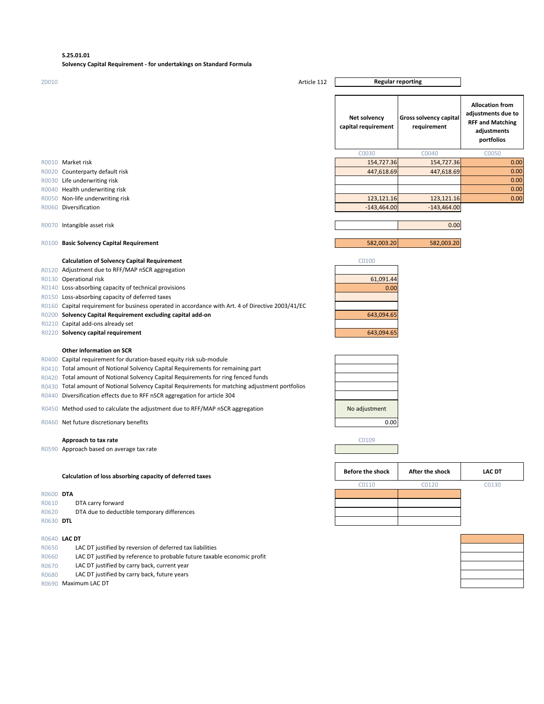#### **S.25.01.01**

#### **Solvency Capital Requirement - for undertakings on Standard Formula**

| Z0010          | Article 112                                                                                                                                                                                                                                                                                                                                                                                                                                                                                                                                                                          | <b>Regular reporting</b>            |                                       |                                                                                                      |
|----------------|--------------------------------------------------------------------------------------------------------------------------------------------------------------------------------------------------------------------------------------------------------------------------------------------------------------------------------------------------------------------------------------------------------------------------------------------------------------------------------------------------------------------------------------------------------------------------------------|-------------------------------------|---------------------------------------|------------------------------------------------------------------------------------------------------|
|                |                                                                                                                                                                                                                                                                                                                                                                                                                                                                                                                                                                                      | Net solvency<br>capital requirement | Gross solvency capital<br>requirement | <b>Allocation from</b><br>adjustments due to<br><b>RFF and Matching</b><br>adjustments<br>portfolios |
|                |                                                                                                                                                                                                                                                                                                                                                                                                                                                                                                                                                                                      | C0030                               | C0040                                 | C0050                                                                                                |
|                | R0010 Market risk                                                                                                                                                                                                                                                                                                                                                                                                                                                                                                                                                                    | 154,727.36                          | 154,727.36                            | 0.00                                                                                                 |
|                | R0020 Counterparty default risk                                                                                                                                                                                                                                                                                                                                                                                                                                                                                                                                                      | 447,618.69                          | 447,618.69                            | 0.00                                                                                                 |
|                | R0030 Life underwriting risk                                                                                                                                                                                                                                                                                                                                                                                                                                                                                                                                                         |                                     |                                       | 0.00                                                                                                 |
|                | R0040 Health underwriting risk                                                                                                                                                                                                                                                                                                                                                                                                                                                                                                                                                       |                                     |                                       | 0.00                                                                                                 |
|                | R0050 Non-life underwriting risk                                                                                                                                                                                                                                                                                                                                                                                                                                                                                                                                                     | 123,121.16                          | 123,121.16                            | 0.00                                                                                                 |
|                | R0060 Diversification                                                                                                                                                                                                                                                                                                                                                                                                                                                                                                                                                                | $-143,464.00$                       | $-143,464.00$                         |                                                                                                      |
|                | R0070 Intangible asset risk                                                                                                                                                                                                                                                                                                                                                                                                                                                                                                                                                          |                                     | 0.00                                  |                                                                                                      |
|                | R0100 Basic Solvency Capital Requirement                                                                                                                                                                                                                                                                                                                                                                                                                                                                                                                                             | 582,003.20                          | 582,003.20                            |                                                                                                      |
|                | <b>Calculation of Solvency Capital Requirement</b>                                                                                                                                                                                                                                                                                                                                                                                                                                                                                                                                   | C0100                               |                                       |                                                                                                      |
|                | R0120 Adjustment due to RFF/MAP nSCR aggregation                                                                                                                                                                                                                                                                                                                                                                                                                                                                                                                                     |                                     |                                       |                                                                                                      |
|                | R0130 Operational risk                                                                                                                                                                                                                                                                                                                                                                                                                                                                                                                                                               | 61,091.44                           |                                       |                                                                                                      |
|                | R0140 Loss-absorbing capacity of technical provisions                                                                                                                                                                                                                                                                                                                                                                                                                                                                                                                                | 0.00                                |                                       |                                                                                                      |
|                | R0150 Loss-absorbing capacity of deferred taxes                                                                                                                                                                                                                                                                                                                                                                                                                                                                                                                                      |                                     |                                       |                                                                                                      |
|                | R0160 Capital requirement for business operated in accordance with Art. 4 of Directive 2003/41/EC                                                                                                                                                                                                                                                                                                                                                                                                                                                                                    |                                     |                                       |                                                                                                      |
|                | R0200 Solvency Capital Requirement excluding capital add-on                                                                                                                                                                                                                                                                                                                                                                                                                                                                                                                          | 643,094.65                          |                                       |                                                                                                      |
|                | R0210 Capital add-ons already set                                                                                                                                                                                                                                                                                                                                                                                                                                                                                                                                                    |                                     |                                       |                                                                                                      |
|                | R0220 Solvency capital requirement                                                                                                                                                                                                                                                                                                                                                                                                                                                                                                                                                   | 643,094.65                          |                                       |                                                                                                      |
|                | Other information on SCR<br>R0400 Capital requirement for duration-based equity risk sub-module<br>R0410 Total amount of Notional Solvency Capital Requirements for remaining part<br>R0420 Total amount of Notional Solvency Capital Requirements for ring fenced funds<br>R0430 Total amount of Notional Solvency Capital Requirements for matching adjustment portfolios<br>R0440 Diversification effects due to RFF nSCR aggregation for article 304<br>R0450 Method used to calculate the adjustment due to RFF/MAP nSCR aggregation<br>R0460 Net future discretionary benefits | No adjustment<br>0.00               |                                       |                                                                                                      |
|                | Approach to tax rate                                                                                                                                                                                                                                                                                                                                                                                                                                                                                                                                                                 | C0109                               |                                       |                                                                                                      |
|                | R0590 Approach based on average tax rate                                                                                                                                                                                                                                                                                                                                                                                                                                                                                                                                             |                                     |                                       |                                                                                                      |
|                |                                                                                                                                                                                                                                                                                                                                                                                                                                                                                                                                                                                      | <b>Before the shock</b>             | After the shock                       | <b>LAC DT</b>                                                                                        |
|                | Calculation of loss absorbing capacity of deferred taxes                                                                                                                                                                                                                                                                                                                                                                                                                                                                                                                             |                                     |                                       |                                                                                                      |
|                |                                                                                                                                                                                                                                                                                                                                                                                                                                                                                                                                                                                      | C0110                               | C0120                                 | C0130                                                                                                |
| R0600 DTA      |                                                                                                                                                                                                                                                                                                                                                                                                                                                                                                                                                                                      |                                     |                                       |                                                                                                      |
| R0610<br>R0620 | DTA carry forward<br>DTA due to deductible temporary differences                                                                                                                                                                                                                                                                                                                                                                                                                                                                                                                     |                                     |                                       |                                                                                                      |
| R0630 DTL      |                                                                                                                                                                                                                                                                                                                                                                                                                                                                                                                                                                                      |                                     |                                       |                                                                                                      |
|                |                                                                                                                                                                                                                                                                                                                                                                                                                                                                                                                                                                                      |                                     |                                       |                                                                                                      |
|                | R0640 LAC DT                                                                                                                                                                                                                                                                                                                                                                                                                                                                                                                                                                         |                                     |                                       |                                                                                                      |
| R0650          | LAC DT justified by reversion of deferred tax liabilities                                                                                                                                                                                                                                                                                                                                                                                                                                                                                                                            |                                     |                                       |                                                                                                      |
| R0660          | LAC DT justified by reference to probable future taxable economic profit                                                                                                                                                                                                                                                                                                                                                                                                                                                                                                             |                                     |                                       |                                                                                                      |
| R0670          | LAC DT justified by carry back, current year                                                                                                                                                                                                                                                                                                                                                                                                                                                                                                                                         |                                     |                                       |                                                                                                      |
| R0680          | LAC DT justified by carry back, future years                                                                                                                                                                                                                                                                                                                                                                                                                                                                                                                                         |                                     |                                       |                                                                                                      |
|                | R0690 Maximum LAC DT                                                                                                                                                                                                                                                                                                                                                                                                                                                                                                                                                                 |                                     |                                       |                                                                                                      |
|                |                                                                                                                                                                                                                                                                                                                                                                                                                                                                                                                                                                                      |                                     |                                       |                                                                                                      |
|                |                                                                                                                                                                                                                                                                                                                                                                                                                                                                                                                                                                                      |                                     |                                       |                                                                                                      |
|                |                                                                                                                                                                                                                                                                                                                                                                                                                                                                                                                                                                                      |                                     |                                       |                                                                                                      |
|                |                                                                                                                                                                                                                                                                                                                                                                                                                                                                                                                                                                                      |                                     |                                       |                                                                                                      |
|                |                                                                                                                                                                                                                                                                                                                                                                                                                                                                                                                                                                                      |                                     |                                       |                                                                                                      |